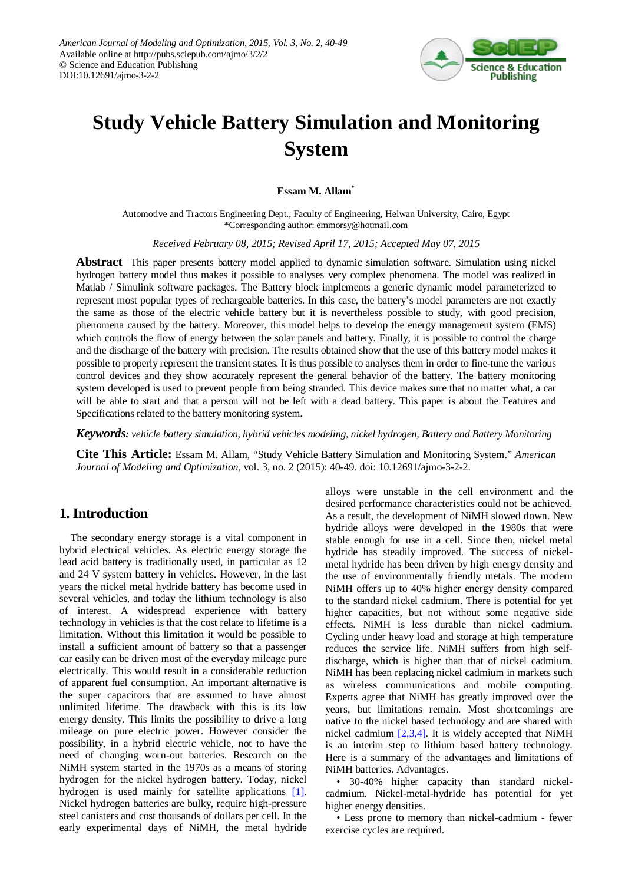

# **Study Vehicle Battery Simulation and Monitoring System**

#### **Essam M. Allam\***

Automotive and Tractors Engineering Dept., Faculty of Engineering, Helwan University, Cairo, Egypt \*Corresponding author: emmorsy@hotmail.com

*Received February 08, 2015; Revised April 17, 2015; Accepted May 07, 2015*

**Abstract** This paper presents battery model applied to dynamic simulation software. Simulation using nickel hydrogen battery model thus makes it possible to analyses very complex phenomena. The model was realized in Matlab / Simulink software packages. The Battery block implements a generic dynamic model parameterized to represent most popular types of rechargeable batteries. In this case, the battery's model parameters are not exactly the same as those of the electric vehicle battery but it is nevertheless possible to study, with good precision, phenomena caused by the battery. Moreover, this model helps to develop the energy management system (EMS) which controls the flow of energy between the solar panels and battery. Finally, it is possible to control the charge and the discharge of the battery with precision. The results obtained show that the use of this battery model makes it possible to properly represent the transient states. It is thus possible to analyses them in order to fine-tune the various control devices and they show accurately represent the general behavior of the battery. The battery monitoring system developed is used to prevent people from being stranded. This device makes sure that no matter what, a car will be able to start and that a person will not be left with a dead battery. This paper is about the Features and Specifications related to the battery monitoring system.

*Keywords: vehicle battery simulation, hybrid vehicles modeling, nickel hydrogen, Battery and Battery Monitoring* 

**Cite This Article:** Essam M. Allam, "Study Vehicle Battery Simulation and Monitoring System." *American Journal of Modeling and Optimization*, vol. 3, no. 2 (2015): 40-49. doi: 10.12691/ajmo-3-2-2.

## **1. Introduction**

The secondary energy storage is a vital component in hybrid electrical vehicles. As electric energy storage the lead acid battery is traditionally used, in particular as 12 and 24 V system battery in vehicles. However, in the last years the nickel metal hydride battery has become used in several vehicles, and today the lithium technology is also of interest. A widespread experience with battery technology in vehicles is that the cost relate to lifetime is a limitation. Without this limitation it would be possible to install a sufficient amount of battery so that a passenger car easily can be driven most of the everyday mileage pure electrically. This would result in a considerable reduction of apparent fuel consumption. An important alternative is the super capacitors that are assumed to have almost unlimited lifetime. The drawback with this is its low energy density. This limits the possibility to drive a long mileage on pure electric power. However consider the possibility, in a hybrid electric vehicle, not to have the need of changing worn-out batteries. Research on the NiMH system started in the 1970s as a means of storing hydrogen for the nickel hydrogen battery. Today, nickel hydrogen is used mainly for satellite applications [\[1\].](#page-9-0) Nickel hydrogen batteries are bulky, require high-pressure steel canisters and cost thousands of dollars per cell. In the early experimental days of NiMH, the metal hydride alloys were unstable in the cell environment and the desired performance characteristics could not be achieved. As a result, the development of NiMH slowed down. New hydride alloys were developed in the 1980s that were stable enough for use in a cell. Since then, nickel metal hydride has steadily improved. The success of nickelmetal hydride has been driven by high energy density and the use of environmentally friendly metals. The modern NiMH offers up to 40% higher energy density compared to the standard nickel cadmium. There is potential for yet higher capacities, but not without some negative side effects. NiMH is less durable than nickel cadmium. Cycling under heavy load and storage at high temperature reduces the service life. NiMH suffers from high selfdischarge, which is higher than that of nickel cadmium. NiMH has been replacing nickel cadmium in markets such as wireless communications and mobile computing. Experts agree that NiMH has greatly improved over the years, but limitations remain. Most shortcomings are native to the nickel based technology and are shared with nickel cadmium [\[2,3,4\].](#page-9-1) It is widely accepted that NiMH is an interim step to lithium based battery technology. Here is a summary of the advantages and limitations of NiMH batteries. Advantages.

• 30-40% higher capacity than standard nickelcadmium. Nickel-metal-hydride has potential for yet higher energy densities.

• Less prone to memory than nickel-cadmium - fewer exercise cycles are required.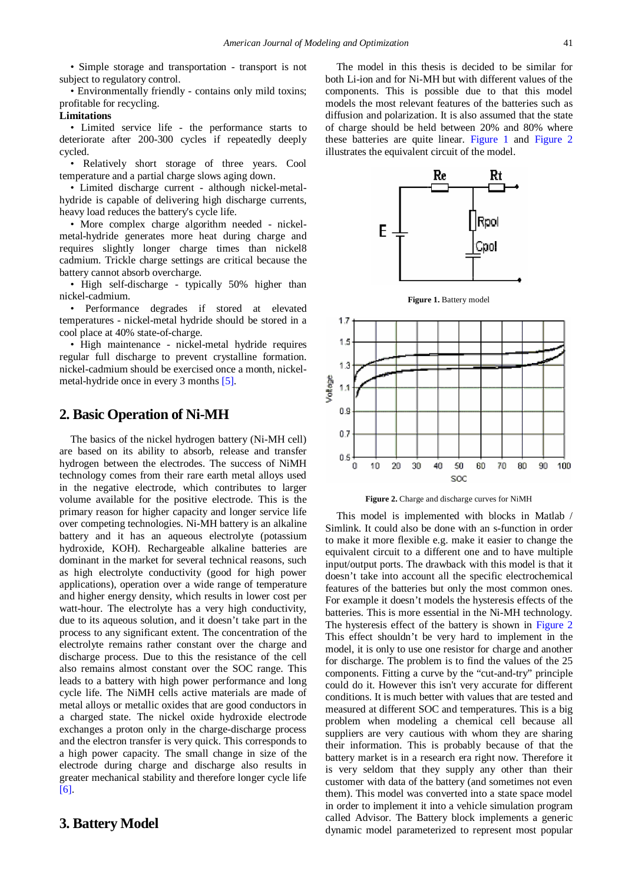• Simple storage and transportation - transport is not subject to regulatory control.

• Environmentally friendly - contains only mild toxins; profitable for recycling.

#### **Limitations**

• Limited service life - the performance starts to deteriorate after 200-300 cycles if repeatedly deeply cycled.

• Relatively short storage of three years. Cool temperature and a partial charge slows aging down.

• Limited discharge current - although nickel-metalhydride is capable of delivering high discharge currents, heavy load reduces the battery's cycle life.

• More complex charge algorithm needed - nickelmetal-hydride generates more heat during charge and requires slightly longer charge times than nickel8 cadmium. Trickle charge settings are critical because the battery cannot absorb overcharge.

• High self-discharge - typically 50% higher than nickel-cadmium.

• Performance degrades if stored at elevated temperatures - nickel-metal hydride should be stored in a cool place at 40% state-of-charge.

• High maintenance - nickel-metal hydride requires regular full discharge to prevent crystalline formation. nickel-cadmium should be exercised once a month, nickelmetal-hydride once in every 3 months [\[5\].](#page-9-2)

#### **2. Basic Operation of Ni-MH**

The basics of the nickel hydrogen battery (Ni-MH cell) are based on its ability to absorb, release and transfer hydrogen between the electrodes. The success of NiMH technology comes from their rare earth metal alloys used in the negative electrode, which contributes to larger volume available for the positive electrode. This is the primary reason for higher capacity and longer service life over competing technologies. Ni-MH battery is an alkaline battery and it has an aqueous electrolyte (potassium hydroxide, KOH). Rechargeable alkaline batteries are dominant in the market for several technical reasons, such as high electrolyte conductivity (good for high power applications), operation over a wide range of temperature and higher energy density, which results in lower cost per watt-hour. The electrolyte has a very high conductivity, due to its aqueous solution, and it doesn't take part in the process to any significant extent. The concentration of the electrolyte remains rather constant over the charge and discharge process. Due to this the resistance of the cell also remains almost constant over the SOC range. This leads to a battery with high power performance and long cycle life. The NiMH cells active materials are made of metal alloys or metallic oxides that are good conductors in a charged state. The nickel oxide hydroxide electrode exchanges a proton only in the charge-discharge process and the electron transfer is very quick. This corresponds to a high power capacity. The small change in size of the electrode during charge and discharge also results in greater mechanical stability and therefore longer cycle life [\[6\].](#page-9-3) 

#### **3. Battery Model**

The model in this thesis is decided to be similar for both Li-ion and for Ni-MH but with different values of the components. This is possible due to that this model models the most relevant features of the batteries such as diffusion and polarization. It is also assumed that the state of charge should be held between 20% and 80% where these batteries are quite linear. [Figure 1](#page-1-0) and [Figure 2](#page-1-1) illustrates the equivalent circuit of the model.

<span id="page-1-0"></span>

**Figure 1.** Battery model

<span id="page-1-1"></span>

**Figure 2.** Charge and discharge curves for NiMH

This model is implemented with blocks in Matlab / Simlink. It could also be done with an s-function in order to make it more flexible e.g. make it easier to change the equivalent circuit to a different one and to have multiple input/output ports. The drawback with this model is that it doesn't take into account all the specific electrochemical features of the batteries but only the most common ones. For example it doesn't models the hysteresis effects of the batteries. This is more essential in the Ni-MH technology. The hysteresis effect of the battery is shown in [Figure 2](#page-1-1) This effect shouldn't be very hard to implement in the model, it is only to use one resistor for charge and another for discharge. The problem is to find the values of the 25 components. Fitting a curve by the "cut-and-try" principle could do it. However this isn't very accurate for different conditions. It is much better with values that are tested and measured at different SOC and temperatures. This is a big problem when modeling a chemical cell because all suppliers are very cautious with whom they are sharing their information. This is probably because of that the battery market is in a research era right now. Therefore it is very seldom that they supply any other than their customer with data of the battery (and sometimes not even them). This model was converted into a state space model in order to implement it into a vehicle simulation program called Advisor. The Battery block implements a generic dynamic model parameterized to represent most popular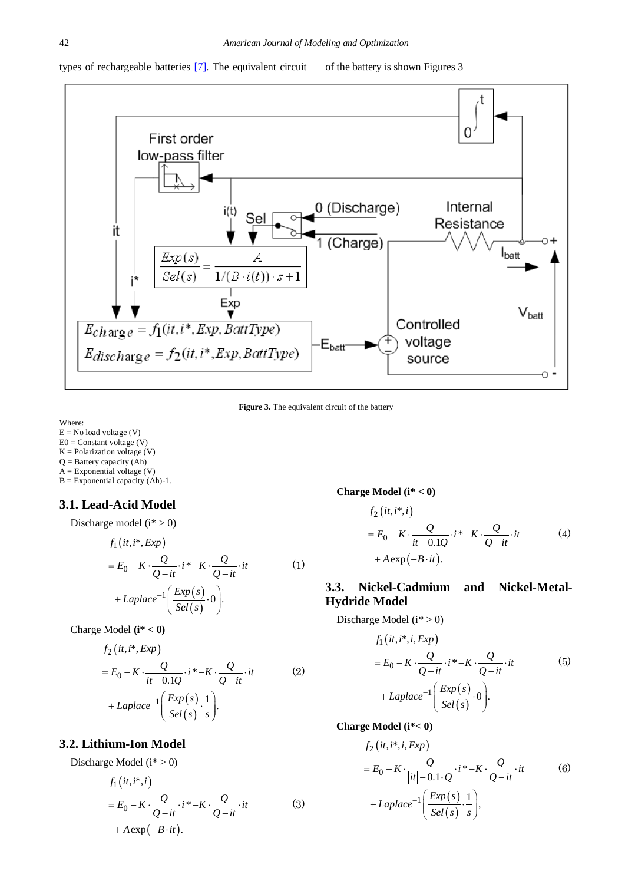types of rechargeable batteries [\[7\].](#page-9-4) The equivalent circuit of the battery is shown Figures 3



Figure 3. The equivalent circuit of the battery

Where:

 $E = No$  load voltage  $(V)$  $E0 =$ Constant voltage (V)  $K =$  Polarization voltage  $(V)$ Q = Battery capacity (Ah)  $A =$  Exponential voltage  $(V)$  $B = Exponential capacity (Ah)-1.$ 

## **3.1. Lead-Acid Model**

$$
Discharge model (i^* > 0)
$$

$$
f_1(it, i^*, Exp)
$$
  
=  $E_0 - K \cdot \frac{Q}{Q - it} \cdot i^* - K \cdot \frac{Q}{Q - it} \cdot it$  (1)  
+  $Laplace^{-1} \left( \frac{Exp(s)}{Sel(s)} \cdot 0 \right)$ .

$$
Change Model (i^* < 0)
$$

$$
f_2(it, i^*, Exp)
$$
  
=  $E_0 - K \cdot \frac{Q}{it - 0.1Q} \cdot i^* - K \cdot \frac{Q}{Q - it} \cdot it$  (2)  
+  $Laplace^{-1} \left( \frac{Exp(s)}{Sel(s)} \cdot \frac{1}{s} \right).$ 

## **3.2. Lithium-Ion Model**

Discharge Model  $(i^* > 0)$ 

$$
f_1(ii, i^*, i)
$$
  
=  $E_0 - K \cdot \frac{Q}{Q - it} \cdot i^* - K \cdot \frac{Q}{Q - it} \cdot it$  (3)  
+  $A \exp(-B \cdot it)$ .

**Charge Model (i\* < 0)** 

$$
f_2(it, i^*, i)
$$
  
=  $E_0 - K \cdot \frac{Q}{it - 0.1Q} \cdot i^* - K \cdot \frac{Q}{Q - it} \cdot it$  (4)  
+  $A \exp(-B \cdot it)$ .

## **3.3. Nickel-Cadmium and Nickel-Metal-Hydride Model**

Discharge Model ( $i^* > 0$ )

$$
f_1(it, i^*, i, Exp)
$$
  
=  $E_0 - K \cdot \frac{Q}{Q - it} \cdot i^* - K \cdot \frac{Q}{Q - it} \cdot it$  (5)  
+  $Laplace^{-1} \left( \frac{Exp(s)}{Sel(s)} \cdot 0 \right)$ .

**Charge Model (i\*< 0)** 

$$
f_2\left(it, i^*, i, Exp\right)
$$
  
=  $E_0 - K \cdot \frac{Q}{|it| - 0.1 \cdot Q} \cdot i^* - K \cdot \frac{Q}{Q - it} \cdot it$  (6)  
+  $Laplace^{-1}\left(\frac{Exp(s)}{Sel(s)} \cdot \frac{1}{s}\right)$ ,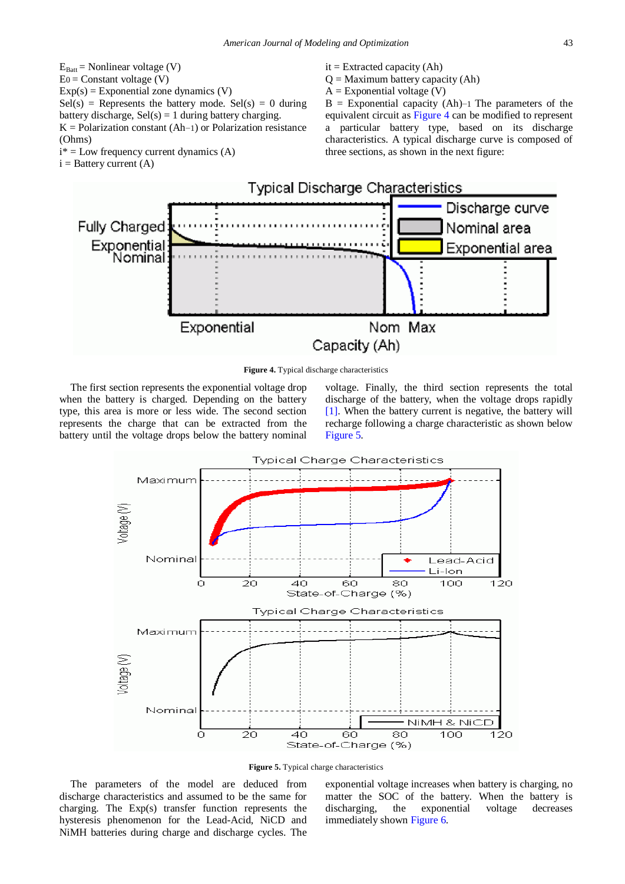$E_{Batt}$  = Nonlinear voltage (V)  $E_0 =$ Constant voltage (V)  $Exp(s) = Exponential zone dynamics (V)$  $Sel(s)$  = Represents the battery mode.  $Sel(s) = 0$  during battery discharge,  $Sel(s) = 1$  during battery charging.  $K =$  Polarization constant (Ah–1) or Polarization resistance (Ohms)  $i^*$  = Low frequency current dynamics (A)

<span id="page-3-0"></span> $i =$  Battery current  $(A)$ 

- $it = Extracted capacity (Ah)$
- $Q =$ Maximum battery capacity (Ah)
- $A = Exponential voltage (V)$

B = Exponential capacity (Ah)−1 The parameters of the equivalent circuit as [Figure 4](#page-3-0) can be modified to represent a particular battery type, based on its discharge characteristics. A typical discharge curve is composed of three sections, as shown in the next figure:



**Figure 4.** Typical discharge characteristics

The first section represents the exponential voltage drop when the battery is charged. Depending on the battery type, this area is more or less wide. The second section represents the charge that can be extracted from the battery until the voltage drops below the battery nominal voltage. Finally, the third section represents the total discharge of the battery, when the voltage drops rapidly [\[1\].](#page-9-0) When the battery current is negative, the battery will recharge following a charge characteristic as shown below [Figure 5.](#page-3-1)

<span id="page-3-1"></span>



The parameters of the model are deduced from discharge characteristics and assumed to be the same for charging. The Exp(s) transfer function represents the hysteresis phenomenon for the Lead-Acid, NiCD and NiMH batteries during charge and discharge cycles. The exponential voltage increases when battery is charging, no matter the SOC of the battery. When the battery is discharging, the exponential voltage decreases immediately shown [Figure 6.](#page-4-0)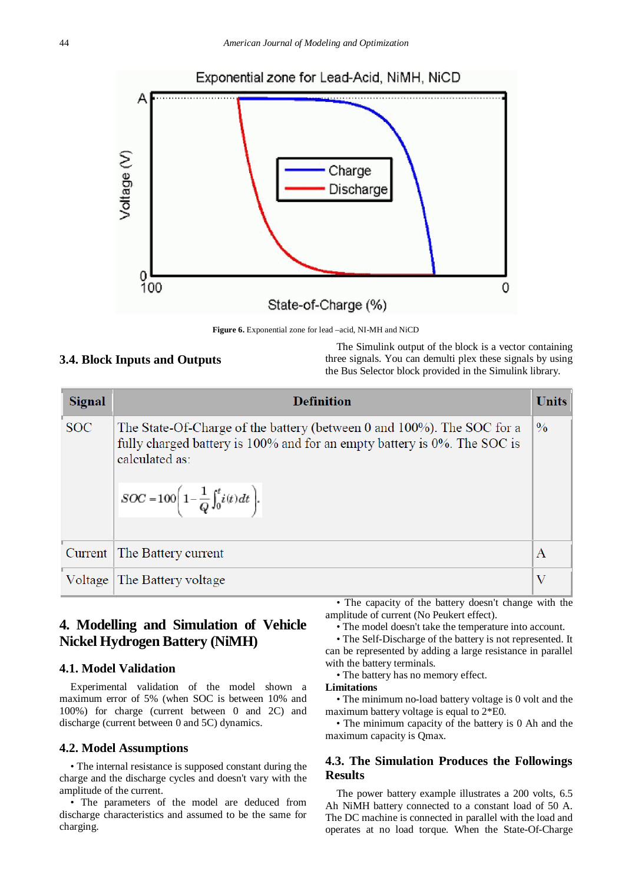<span id="page-4-0"></span>

**Figure 6.** Exponential zone for lead –acid, NI-MH and NiCD

#### **3.4. Block Inputs and Outputs**

The Simulink output of the block is a vector containing three signals. You can demulti plex these signals by using the Bus Selector block provided in the Simulink library.

| Signal     | <b>Definition</b>                                                                                                                                                                                                                              | <b>Units</b>     |
|------------|------------------------------------------------------------------------------------------------------------------------------------------------------------------------------------------------------------------------------------------------|------------------|
| <b>SOC</b> | The State-Of-Charge of the battery (between 0 and 100%). The SOC for a<br>fully charged battery is 100% and for an empty battery is 0%. The SOC is<br>calculated as:<br>$\boxed{SOC = 100 \Bigg( 1 - \frac{1}{Q} \int_0^t i(t) \, dt \Bigg).}$ | $\frac{0}{0}$    |
|            |                                                                                                                                                                                                                                                |                  |
| Current    | The Battery current                                                                                                                                                                                                                            | $\boldsymbol{A}$ |
|            | Voltage The Battery voltage                                                                                                                                                                                                                    | V                |

## **4. Modelling and Simulation of Vehicle Nickel Hydrogen Battery (NiMH)**

#### **4.1. Model Validation**

Experimental validation of the model shown a maximum error of 5% (when SOC is between 10% and 100%) for charge (current between 0 and 2C) and discharge (current between 0 and 5C) dynamics.

#### **4.2. Model Assumptions**

• The internal resistance is supposed constant during the charge and the discharge cycles and doesn't vary with the amplitude of the current.

• The parameters of the model are deduced from discharge characteristics and assumed to be the same for charging.

• The capacity of the battery doesn't change with the amplitude of current (No Peukert effect).

• The model doesn't take the temperature into account.

• The Self-Discharge of the battery is not represented. It can be represented by adding a large resistance in parallel with the battery terminals.

• The battery has no memory effect.

#### **Limitations**

• The minimum no-load battery voltage is 0 volt and the maximum battery voltage is equal to 2\*E0.

• The minimum capacity of the battery is 0 Ah and the maximum capacity is Qmax.

#### **4.3. The Simulation Produces the Followings Results**

The power battery example illustrates a 200 volts, 6.5 Ah NiMH battery connected to a constant load of 50 A. The DC machine is connected in parallel with the load and operates at no load torque. When the State-Of-Charge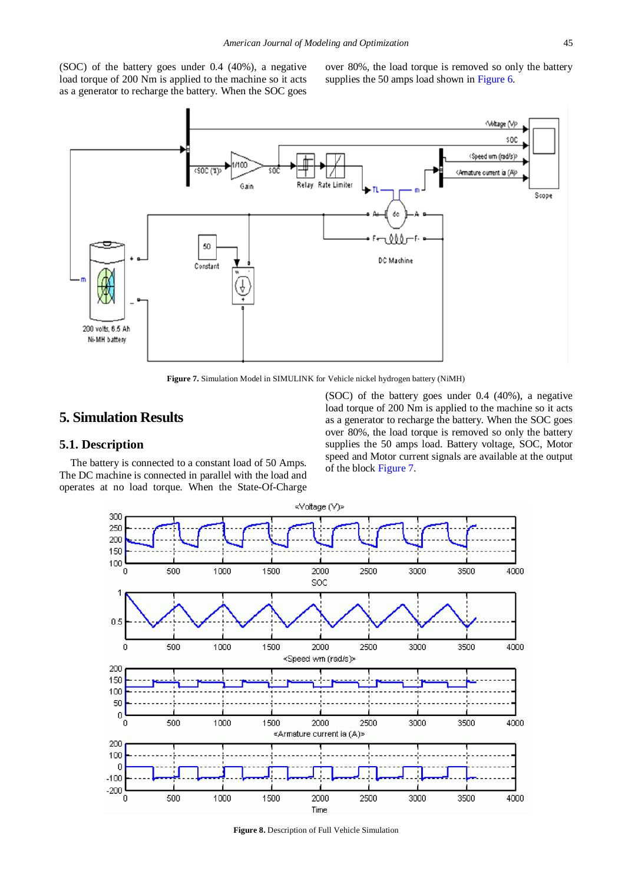(SOC) of the battery goes under 0.4 (40%), a negative load torque of 200 Nm is applied to the machine so it acts as a generator to recharge the battery. When the SOC goes over 80%, the load torque is removed so only the battery supplies the 50 amps load shown in [Figure](#page-4-0) 6.

<span id="page-5-0"></span>

**Figure 7.** Simulation Model in SIMULINK for Vehicle nickel hydrogen battery (NiMH)

## **5. Simulation Results**

#### **5.1. Description**

The battery is connected to a constant load of 50 Amps. The DC machine is connected in parallel with the load and operates at no load torque. When the State-Of-Charge (SOC) of the battery goes under 0.4 (40%), a negative load torque of 200 Nm is applied to the machine so it acts as a generator to recharge the battery. When the SOC goes over 80%, the load torque is removed so only the battery supplies the 50 amps load. Battery voltage, SOC, Motor speed and Motor current signals are available at the output of the block [Figure 7.](#page-5-0)



**Figure 8.** Description of Full Vehicle Simulation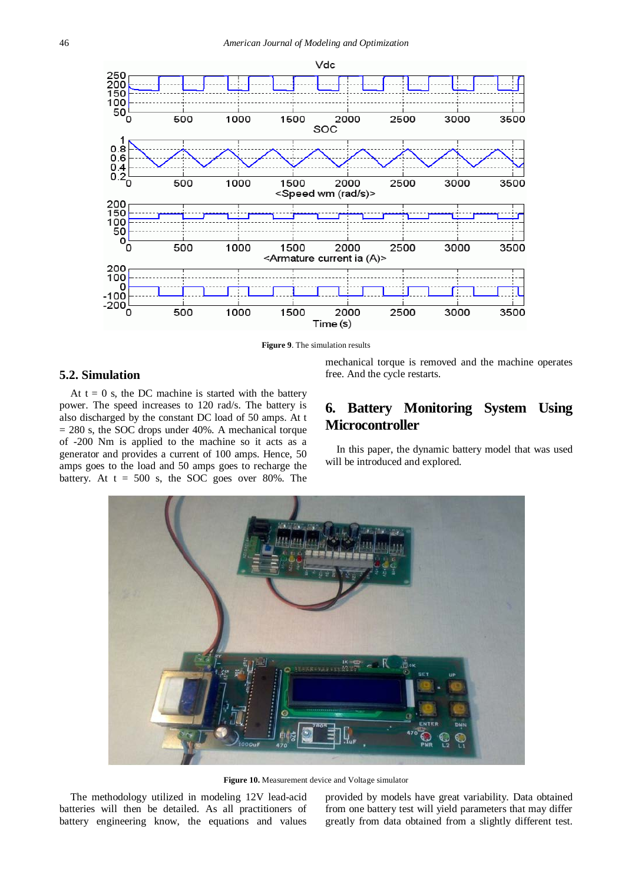<span id="page-6-0"></span>

**Figure 9**. The simulation results

#### **5.2. Simulation**

At  $t = 0$  s, the DC machine is started with the battery power. The speed increases to 120 rad/s. The battery is also discharged by the constant DC load of 50 amps. At t  $= 280$  s, the SOC drops under 40%. A mechanical torque of -200 Nm is applied to the machine so it acts as a generator and provides a current of 100 amps. Hence, 50 amps goes to the load and 50 amps goes to recharge the battery. At  $t = 500$  s, the SOC goes over 80%. The

mechanical torque is removed and the machine operates free. And the cycle restarts.

## **6. Battery Monitoring System Using Microcontroller**

In this paper, the dynamic battery model that was used will be introduced and explored.

<span id="page-6-1"></span>

**Figure 10.** Measurement device and Voltage simulator

The methodology utilized in modeling 12V lead-acid batteries will then be detailed. As all practitioners of battery engineering know, the equations and values provided by models have great variability. Data obtained from one battery test will yield parameters that may differ greatly from data obtained from a slightly different test.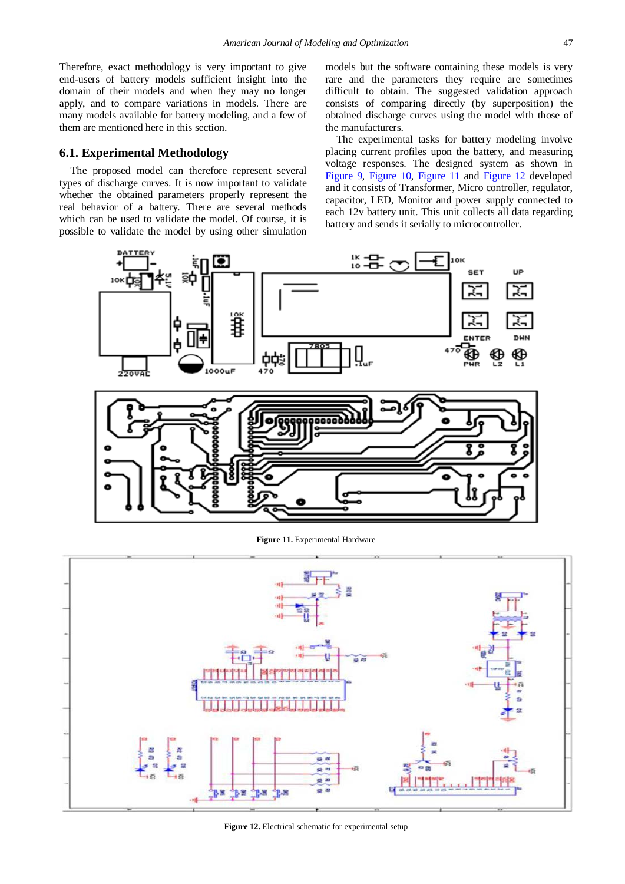Therefore, exact methodology is very important to give end-users of battery models sufficient insight into the domain of their models and when they may no longer apply, and to compare variations in models. There are many models available for battery modeling, and a few of them are mentioned here in this section.

#### **6.1. Experimental Methodology**

The proposed model can therefore represent several types of discharge curves. It is now important to validate whether the obtained parameters properly represent the real behavior of a battery. There are several methods which can be used to validate the model. Of course, it is possible to validate the model by using other simulation

models but the software containing these models is very rare and the parameters they require are sometimes difficult to obtain. The suggested validation approach consists of comparing directly (by superposition) the obtained discharge curves using the model with those of the manufacturers.

The experimental tasks for battery modeling involve placing current profiles upon the battery, and measuring voltage responses. The designed system as shown in [Figure 9,](#page-6-0) [Figure 10,](#page-6-1) [Figure 11](#page-7-0) and [Figure 12](#page-7-1) developed and it consists of Transformer, Micro controller, regulator, capacitor, LED, Monitor and power supply connected to each 12v battery unit. This unit collects all data regarding battery and sends it serially to microcontroller.

<span id="page-7-0"></span>

**Figure 11.** Experimental Hardware

<span id="page-7-1"></span>

**Figure 12.** Electrical schematic for experimental setup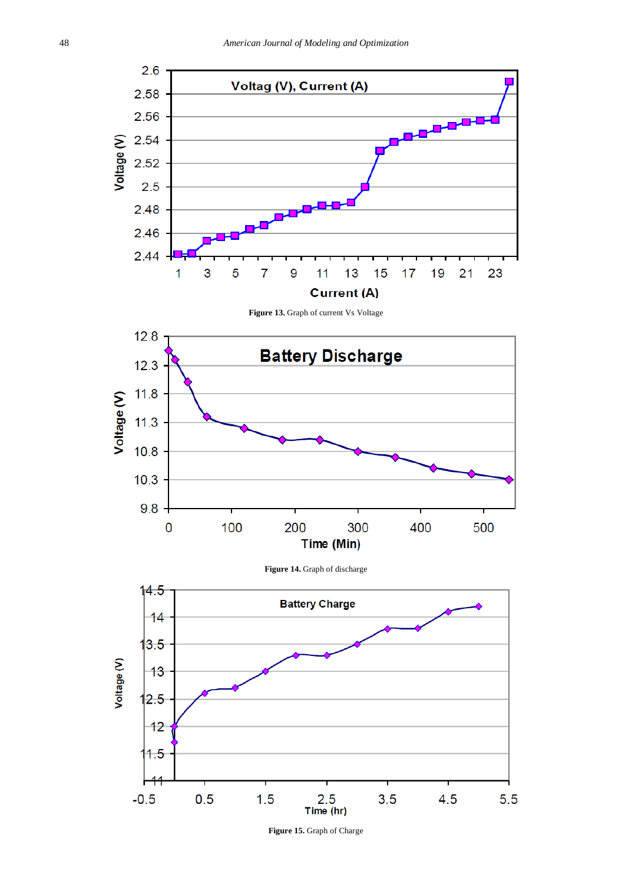<span id="page-8-1"></span><span id="page-8-0"></span>

<span id="page-8-2"></span>**Figure 15.** Graph of Charge